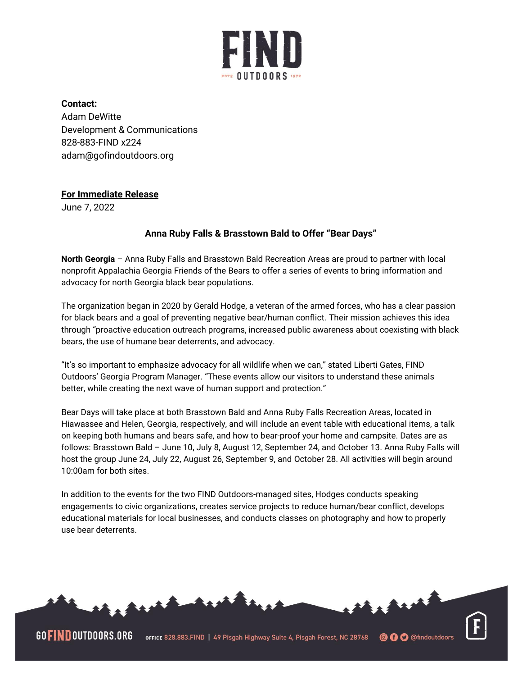

**Contact:** Adam DeWitte Development & Communications 828-883-FIND x224 adam@gofindoutdoors.org

## **For Immediate Release**

June 7, 2022

## **Anna Ruby Falls & Brasstown Bald to Offer "Bear Days"**

**North Georgia** – Anna Ruby Falls and Brasstown Bald Recreation Areas are proud to partner with local nonprofit Appalachia Georgia Friends of the Bears to offer a series of events to bring information and advocacy for north Georgia black bear populations.

The organization began in 2020 by Gerald Hodge, a veteran of the armed forces, who has a clear passion for black bears and a goal of preventing negative bear/human conflict. Their mission achieves this idea through "proactive education outreach programs, increased public awareness about coexisting with black bears, the use of humane bear deterrents, and advocacy.

"It's so important to emphasize advocacy for all wildlife when we can," stated Liberti Gates, FIND Outdoors' Georgia Program Manager. "These events allow our visitors to understand these animals better, while creating the next wave of human support and protection."

Bear Days will take place at both Brasstown Bald and Anna Ruby Falls Recreation Areas, located in Hiawassee and Helen, Georgia, respectively, and will include an event table with educational items, a talk on keeping both humans and bears safe, and how to bear-proof your home and campsite. Dates are as follows: Brasstown Bald – June 10, July 8, August 12, September 24, and October 13. Anna Ruby Falls will host the group June 24, July 22, August 26, September 9, and October 28. All activities will begin around 10:00am for both sites.

In addition to the events for the two FIND Outdoors-managed sites, Hodges conducts speaking engagements to civic organizations, creates service projects to reduce human/bear conflict, develops educational materials for local businesses, and conducts classes on photography and how to properly use bear deterrents.